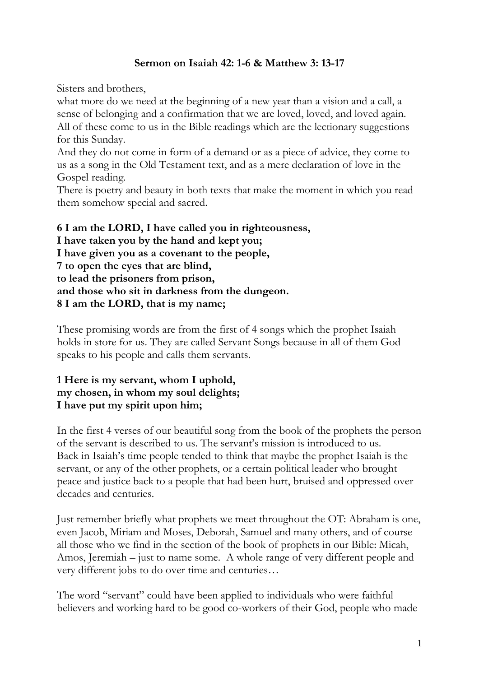## **Sermon on Isaiah 42: 1-6 & Matthew 3: 13-17**

Sisters and brothers,

what more do we need at the beginning of a new year than a vision and a call, a sense of belonging and a confirmation that we are loved, loved, and loved again. All of these come to us in the Bible readings which are the lectionary suggestions for this Sunday.

And they do not come in form of a demand or as a piece of advice, they come to us as a song in the Old Testament text, and as a mere declaration of love in the Gospel reading.

There is poetry and beauty in both texts that make the moment in which you read them somehow special and sacred.

**6 I am the LORD, I have called you in righteousness, I have taken you by the hand and kept you; I have given you as a covenant to the people, 7 to open the eyes that are blind, to lead the prisoners from prison, and those who sit in darkness from the dungeon. 8 I am the LORD, that is my name;**

These promising words are from the first of 4 songs which the prophet Isaiah holds in store for us. They are called Servant Songs because in all of them God speaks to his people and calls them servants.

## **1 Here is my servant, whom I uphold, my chosen, in whom my soul delights; I have put my spirit upon him;**

In the first 4 verses of our beautiful song from the book of the prophets the person of the servant is described to us. The servant's mission is introduced to us. Back in Isaiah's time people tended to think that maybe the prophet Isaiah is the servant, or any of the other prophets, or a certain political leader who brought peace and justice back to a people that had been hurt, bruised and oppressed over decades and centuries.

Just remember briefly what prophets we meet throughout the OT: Abraham is one, even Jacob, Miriam and Moses, Deborah, Samuel and many others, and of course all those who we find in the section of the book of prophets in our Bible: Micah, Amos, Jeremiah – just to name some. A whole range of very different people and very different jobs to do over time and centuries…

The word "servant" could have been applied to individuals who were faithful believers and working hard to be good co-workers of their God, people who made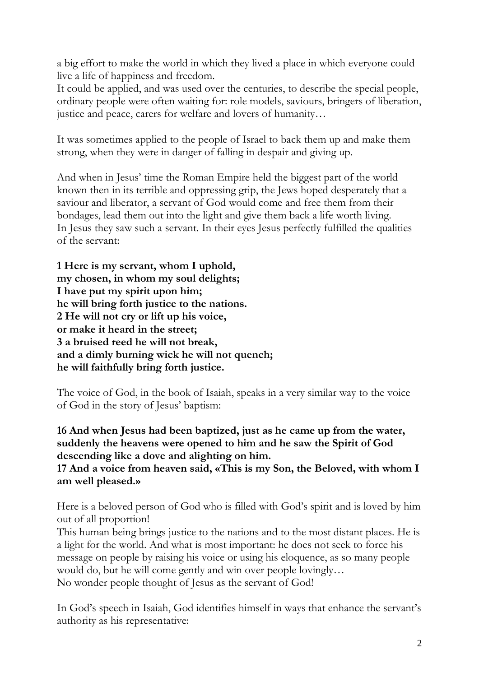a big effort to make the world in which they lived a place in which everyone could live a life of happiness and freedom.

It could be applied, and was used over the centuries, to describe the special people, ordinary people were often waiting for: role models, saviours, bringers of liberation, justice and peace, carers for welfare and lovers of humanity…

It was sometimes applied to the people of Israel to back them up and make them strong, when they were in danger of falling in despair and giving up.

And when in Jesus' time the Roman Empire held the biggest part of the world known then in its terrible and oppressing grip, the Jews hoped desperately that a saviour and liberator, a servant of God would come and free them from their bondages, lead them out into the light and give them back a life worth living. In Jesus they saw such a servant. In their eyes Jesus perfectly fulfilled the qualities of the servant:

**1 Here is my servant, whom I uphold, my chosen, in whom my soul delights; I have put my spirit upon him; he will bring forth justice to the nations. 2 He will not cry or lift up his voice, or make it heard in the street; 3 a bruised reed he will not break, and a dimly burning wick he will not quench; he will faithfully bring forth justice.**

The voice of God, in the book of Isaiah, speaks in a very similar way to the voice of God in the story of Jesus' baptism:

**16 And when Jesus had been baptized, just as he came up from the water, suddenly the heavens were opened to him and he saw the Spirit of God descending like a dove and alighting on him.**

## **17 And a voice from heaven said, «This is my Son, the Beloved, with whom I am well pleased.»**

Here is a beloved person of God who is filled with God's spirit and is loved by him out of all proportion!

This human being brings justice to the nations and to the most distant places. He is a light for the world. And what is most important: he does not seek to force his message on people by raising his voice or using his eloquence, as so many people would do, but he will come gently and win over people lovingly… No wonder people thought of Jesus as the servant of God!

In God's speech in Isaiah, God identifies himself in ways that enhance the servant's authority as his representative: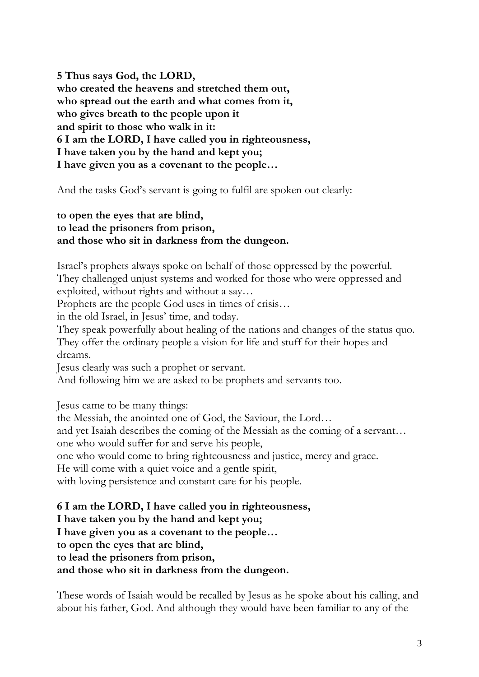**5 Thus says God, the LORD, who created the heavens and stretched them out, who spread out the earth and what comes from it, who gives breath to the people upon it and spirit to those who walk in it: 6 I am the LORD, I have called you in righteousness, I have taken you by the hand and kept you; I have given you as a covenant to the people…**

And the tasks God's servant is going to fulfil are spoken out clearly:

## **to open the eyes that are blind, to lead the prisoners from prison, and those who sit in darkness from the dungeon.**

Israel's prophets always spoke on behalf of those oppressed by the powerful. They challenged unjust systems and worked for those who were oppressed and exploited, without rights and without a say…

Prophets are the people God uses in times of crisis…

in the old Israel, in Jesus' time, and today.

They speak powerfully about healing of the nations and changes of the status quo. They offer the ordinary people a vision for life and stuff for their hopes and dreams.

Jesus clearly was such a prophet or servant.

And following him we are asked to be prophets and servants too.

Jesus came to be many things:

the Messiah, the anointed one of God, the Saviour, the Lord…

and yet Isaiah describes the coming of the Messiah as the coming of a servant…

one who would suffer for and serve his people,

one who would come to bring righteousness and justice, mercy and grace.

He will come with a quiet voice and a gentle spirit,

with loving persistence and constant care for his people.

**6 I am the LORD, I have called you in righteousness, I have taken you by the hand and kept you;**

**I have given you as a covenant to the people…**

**to open the eyes that are blind,**

**to lead the prisoners from prison,**

**and those who sit in darkness from the dungeon.**

These words of Isaiah would be recalled by Jesus as he spoke about his calling, and about his father, God. And although they would have been familiar to any of the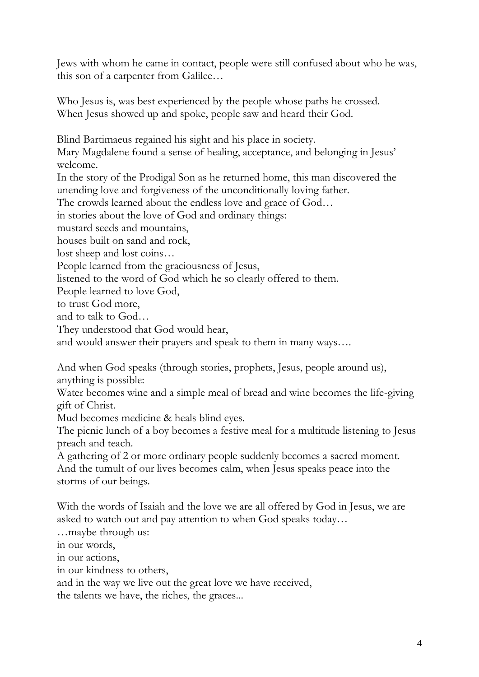Jews with whom he came in contact, people were still confused about who he was, this son of a carpenter from Galilee…

Who Jesus is, was best experienced by the people whose paths he crossed. When Jesus showed up and spoke, people saw and heard their God.

Blind Bartimaeus regained his sight and his place in society.

Mary Magdalene found a sense of healing, acceptance, and belonging in Jesus' welcome.

In the story of the Prodigal Son as he returned home, this man discovered the unending love and forgiveness of the unconditionally loving father.

The crowds learned about the endless love and grace of God…

in stories about the love of God and ordinary things:

mustard seeds and mountains,

houses built on sand and rock,

lost sheep and lost coins…

People learned from the graciousness of Jesus,

listened to the word of God which he so clearly offered to them.

People learned to love God,

to trust God more,

and to talk to God…

They understood that God would hear,

and would answer their prayers and speak to them in many ways….

And when God speaks (through stories, prophets, Jesus, people around us), anything is possible:

Water becomes wine and a simple meal of bread and wine becomes the life-giving gift of Christ.

Mud becomes medicine & heals blind eyes.

The picnic lunch of a boy becomes a festive meal for a multitude listening to Jesus preach and teach.

A gathering of 2 or more ordinary people suddenly becomes a sacred moment. And the tumult of our lives becomes calm, when Jesus speaks peace into the storms of our beings.

With the words of Isaiah and the love we are all offered by God in Jesus, we are asked to watch out and pay attention to when God speaks today…

…maybe through us:

in our words,

in our actions,

in our kindness to others,

and in the way we live out the great love we have received,

the talents we have, the riches, the graces...